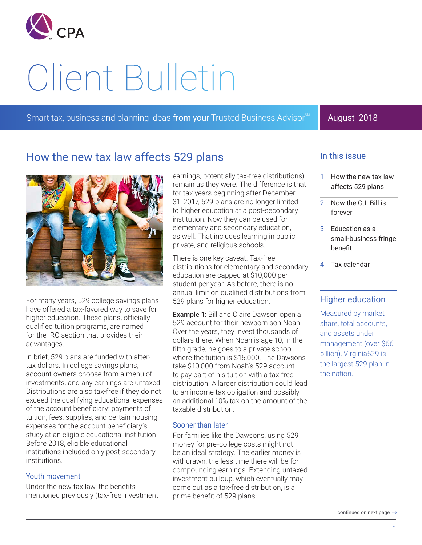

# Client Bulletin

Smart tax, business and planning ideas from your Trusted Business Advisor<sup>®</sup>

## August 2018

## How the new tax law affects 529 plans



For many years, 529 college savings plans have offered a tax-favored way to save for higher education. These plans, officially qualified tuition programs, are named for the IRC section that provides their advantages.

In brief, 529 plans are funded with aftertax dollars. In college savings plans, account owners choose from a menu of investments, and any earnings are untaxed. Distributions are also tax-free if they do not exceed the qualifying educational expenses of the account beneficiary: payments of tuition, fees, supplies, and certain housing expenses for the account beneficiary's study at an eligible educational institution. Before 2018, eligible educational institutions included only post-secondary institutions.

#### Youth movement

Under the new tax law, the benefits mentioned previously (tax-free investment

earnings, potentially tax-free distributions) remain as they were. The difference is that for tax years beginning after December 31, 2017, 529 plans are no longer limited to higher education at a post-secondary institution. Now they can be used for elementary and secondary education, as well. That includes learning in public, private, and religious schools.

There is one key caveat: Tax-free distributions for elementary and secondary education are capped at \$10,000 per student per year. As before, there is no annual limit on qualified distributions from 529 plans for higher education.

**Example 1: Bill and Claire Dawson open a** 529 account for their newborn son Noah. Over the years, they invest thousands of dollars there. When Noah is age 10, in the fifth grade, he goes to a private school where the tuition is \$15,000. The Dawsons take \$10,000 from Noah's 529 account to pay part of his tuition with a tax-free distribution. A larger distribution could lead to an income tax obligation and possibly an additional 10% tax on the amount of the taxable distribution.

## Sooner than later

For families like the Dawsons, using 529 money for pre-college costs might not be an ideal strategy. The earlier money is withdrawn, the less time there will be for compounding earnings. Extending untaxed investment buildup, which eventually may come out as a tax-free distribution, is a prime benefit of 529 plans.

## In this issue

- 1 How the new tax law affects 529 plans
- 2 [Now the G.I. Bill is](#page-1-0)  [forever](#page-1-0)
- 3 [Education as a](#page-2-0)  [small-business fringe](#page-2-0)  [benefit](#page-2-0)
- 4 [Tax calendar](#page-3-0)

## Higher education

Measured by market share, total accounts, and assets under management (over \$66 billion), Virginia529 is the largest 529 plan in the nation.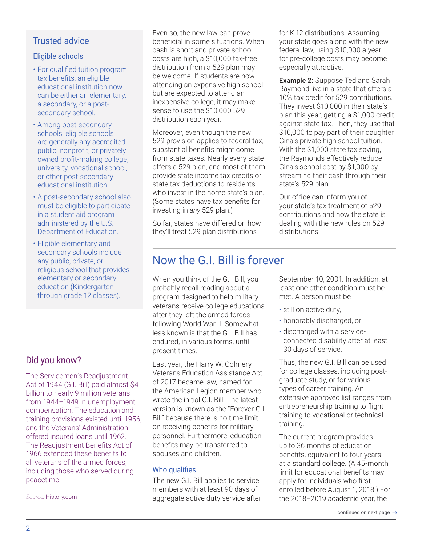## <span id="page-1-0"></span>Eligible schools

- For qualified tuition program tax benefits, an eligible educational institution now can be either an elementary, a secondary, or a postsecondary school.
- Among post-secondary schools, eligible schools are generally any accredited public, nonprofit, or privately owned profit-making college, university, vocational school, or other post-secondary educational institution.
- A post-secondary school also must be eligible to participate in a student aid program administered by the U.S. Department of Education.
- Eligible elementary and secondary schools include any public, private, or religious school that provides elementary or secondary education (Kindergarten through grade 12 classes).

## Did you know?

The Servicemen's Readjustment Act of 1944 (G.I. Bill) paid almost \$4 billion to nearly 9 million veterans from 1944–1949 in unemployment compensation. The education and training provisions existed until 1956, and the Veterans' Administration offered insured loans until 1962. The Readjustment Benefits Act of 1966 extended these benefits to all veterans of the armed forces, including those who served during peacetime.

*Source:* History.com

Even so, the new law can prove beneficial in some situations. When cash is short and private school costs are high, a \$10,000 tax-free distribution from a 529 plan may be welcome. If students are now attending an expensive high school but are expected to attend an inexpensive college, it may make sense to use the \$10,000 529 distribution each year.

Moreover, even though the new 529 provision applies to federal tax, substantial benefits might come from state taxes. Nearly every state offers a 529 plan, and most of them provide state income tax credits or state tax deductions to residents who invest in the home state's plan. (Some states have tax benefits for investing in *any* 529 plan.)

So far, states have differed on how they'll treat 529 plan distributions

# Now the G.I. Bill is forever

When you think of the G.I. Bill, you probably recall reading about a program designed to help military veterans receive college educations after they left the armed forces following World War II. Somewhat less known is that the G.I. Bill has endured, in various forms, until present times.

Last year, the Harry W. Colmery Veterans Education Assistance Act of 2017 became law, named for the American Legion member who wrote the initial G.I. Bill. The latest version is known as the "Forever G.I. Bill" because there is no time limit on receiving benefits for military personnel. Furthermore, education benefits may be transferred to spouses and children.

## Who qualifies

The new G.I. Bill applies to service members with at least 90 days of aggregate active duty service after for K-12 distributions. Assuming your state goes along with the new federal law, using \$10,000 a year for pre-college costs may become especially attractive.

Example 2: Suppose Ted and Sarah Raymond live in a state that offers a 10% tax credit for 529 contributions. They invest \$10,000 in their state's plan this year, getting a \$1,000 credit against state tax. Then, they use that \$10,000 to pay part of their daughter Gina's private high school tuition. With the \$1,000 state tax saving, the Raymonds effectively reduce Gina's school cost by \$1,000 by streaming their cash through their state's 529 plan.

Our office can inform you of your state's tax treatment of 529 contributions and how the state is dealing with the new rules on 529 distributions.

September 10, 2001. In addition, at least one other condition must be met. A person must be

- still on active duty,
- honorably discharged, or
- discharged with a serviceconnected disability after at least 30 days of service.

Thus, the new G.I. Bill can be used for college classes, including postgraduate study, or for various types of career training. An extensive approved list ranges from entrepreneurship training to flight training to vocational or technical training.

The current program provides up to 36 months of education benefits, equivalent to four years at a standard college. (A 45-month limit for educational benefits may apply for individuals who first enrolled before August 1, 2018.) For the 2018–2019 academic year, the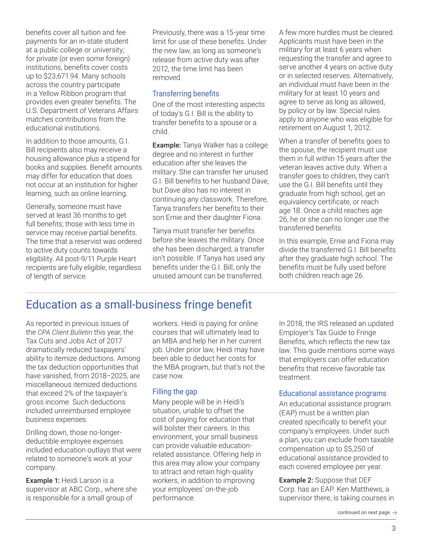<span id="page-2-0"></span>benefits cover all tuition and fee payments for an in-state student at a public college or university; for private (or even some foreign) institutions, benefits cover costs up to \$23,671.94. Many schools across the country participate in a Yellow Ribbon program that provides even greater benefits. The U.S. Department of Veterans Affairs matches contributions from the educational institutions.

In addition to those amounts, G.I. Bill recipients also may receive a housing allowance plus a stipend for books and supplies. Benefit amounts may differ for education that does not occur at an institution for higher learning, such as online learning.

Generally, someone must have served at least 36 months to get full benefits; those with less time in service may receive partial benefits. The time that a reservist was ordered to active duty counts towards eligibility. All post-9/11 Purple Heart recipients are fully eligible, regardless of length of service.

Previously, there was a 15-year time limit for use of these benefits. Under the new law, as long as someone's release from active duty was after 2012, the time limit has been removed.

## Transferring benefits

One of the most interesting aspects of today's G.I. Bill is the ability to transfer benefits to a spouse or a child.

Example: Tanya Walker has a college degree and no interest in further education after she leaves the military. She can transfer her unused G.I. Bill benefits to her husband Dave, but Dave also has no interest in continuing any classwork. Therefore, Tanya transfers her benefits to their son Ernie and their daughter Fiona.

Tanya must transfer her benefits before she leaves the military. Once she has been discharged, a transfer isn't possible. If Tanya has used any benefits under the G.I. Bill, only the unused amount can be transferred.

A few more hurdles must be cleared. Applicants must have been in the military for at least 6 years when requesting the transfer and agree to serve another 4 years on active duty or in selected reserves. Alternatively, an individual must have been in the military for at least 10 years and agree to serve as long as allowed, by policy or by law. Special rules apply to anyone who was eligible for retirement on August 1, 2012.

When a transfer of benefits goes to the spouse, the recipient must use them in full within 15 years after the veteran leaves active duty. When a transfer goes to children, they can't use the G.I. Bill benefits until they graduate from high school, get an equivalency certificate, or reach age 18. Once a child reaches age 26, he or she can no longer use the transferred benefits.

In this example, Ernie and Fiona may divide the transferred G.I. Bill benefits after they graduate high school. The benefits must be fully used before both children reach age 26.

# Education as a small-business fringe benefit

As reported in previous issues of the *CPA Client Bulletin* this year, the Tax Cuts and Jobs Act of 2017 dramatically reduced taxpayers' ability to itemize deductions. Among the tax deduction opportunities that have vanished, from 2018–2025, are miscellaneous itemized deductions that exceed 2% of the taxpayer's gross income. Such deductions included unreimbursed employee business expenses.

Drilling down, those no-longerdeductible employee expenses included education outlays that were related to someone's work at your company.

Example 1: Heidi Larson is a supervisor at ABC Corp., where she is responsible for a small group of

workers. Heidi is paying for online courses that will ultimately lead to an MBA and help her in her current job. Under prior law, Heidi may have been able to deduct her costs for the MBA program, but that's not the case now.

## Filling the gap

Many people will be in Heidi's situation, unable to offset the cost of paying for education that will bolster their careers. In this environment, your small business can provide valuable educationrelated assistance. Offering help in this area may allow your company to attract and retain high-quality workers, in addition to improving your employees' on-the-job performance.

In 2018, the IRS released an updated Employer's Tax Guide to Fringe Benefits, which reflects the new tax law. This guide mentions some ways that employers can offer education benefits that receive favorable tax treatment.

## Educational assistance programs

An educational assistance program (EAP) must be a written plan created specifically to benefit your company's employees. Under such a plan, you can exclude from taxable compensation up to \$5,250 of educational assistance provided to each covered employee per year.

Example 2: Suppose that DEF Corp. has an EAP. Ken Matthews, a supervisor there, is taking courses in